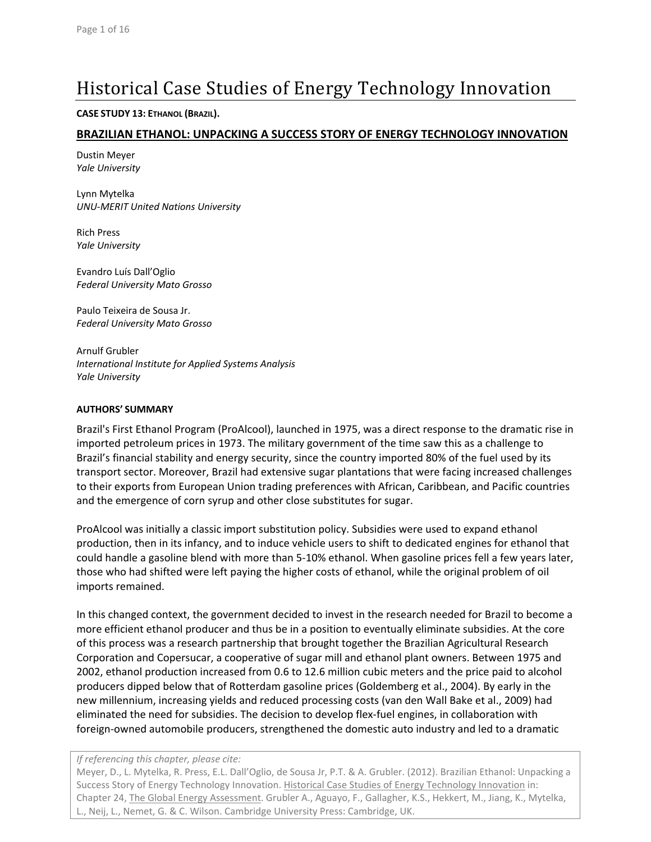# Historical Case Studies of Energy Technology Innovation

#### **CASE STUDY 13: ETHANOL (BRAZIL).**

### **BRAZILIAN ETHANOL: UNPACKING A SUCCESS STORY OF ENERGY TECHNOLOGY INNOVATION**

Dustin Meyer *Yale University*

Lynn Mytelka *UNU‐MERIT United Nations University*

Rich Press *Yale University*

Evandro Luís Dall'Oglio *Federal University Mato Grosso*

Paulo Teixeira de Sousa Jr. *Federal University Mato Grosso*

Arnulf Grubler *International Institute for Applied Systems Analysis Yale University*

#### **AUTHORS' SUMMARY**

Brazil's First Ethanol Program (ProAlcool), launched in 1975, was a direct response to the dramatic rise in imported petroleum prices in 1973. The military government of the time saw this as a challenge to Brazil's financial stability and energy security, since the country imported 80% of the fuel used by its transport sector. Moreover, Brazil had extensive sugar plantations that were facing increased challenges to their exports from European Union trading preferences with African, Caribbean, and Pacific countries and the emergence of corn syrup and other close substitutes for sugar.

ProAlcool was initially a classic import substitution policy. Subsidies were used to expand ethanol production, then in its infancy, and to induce vehicle users to shift to dedicated engines for ethanol that could handle a gasoline blend with more than 5‐10% ethanol. When gasoline prices fell a few years later, those who had shifted were left paying the higher costs of ethanol, while the original problem of oil imports remained.

In this changed context, the government decided to invest in the research needed for Brazil to become a more efficient ethanol producer and thus be in a position to eventually eliminate subsidies. At the core of this process was a research partnership that brought together the Brazilian Agricultural Research Corporation and Copersucar, a cooperative of sugar mill and ethanol plant owners. Between 1975 and 2002, ethanol production increased from 0.6 to 12.6 million cubic meters and the price paid to alcohol producers dipped below that of Rotterdam gasoline prices (Goldemberg et al., 2004). By early in the new millennium, increasing yields and reduced processing costs (van den Wall Bake et al., 2009) had eliminated the need for subsidies. The decision to develop flex‐fuel engines, in collaboration with foreign-owned automobile producers, strengthened the domestic auto industry and led to a dramatic

#### *If referencing this chapter, please cite:*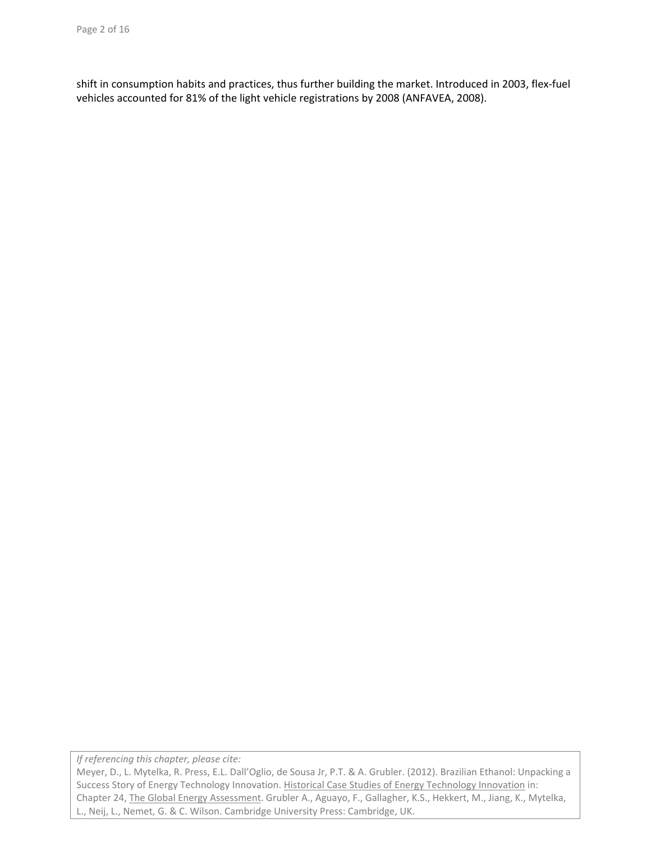shift in consumption habits and practices, thus further building the market. Introduced in 2003, flex-fuel vehicles accounted for 81% of the light vehicle registrations by 2008 (ANFAVEA, 2008).

*If referencing this chapter, please cite:*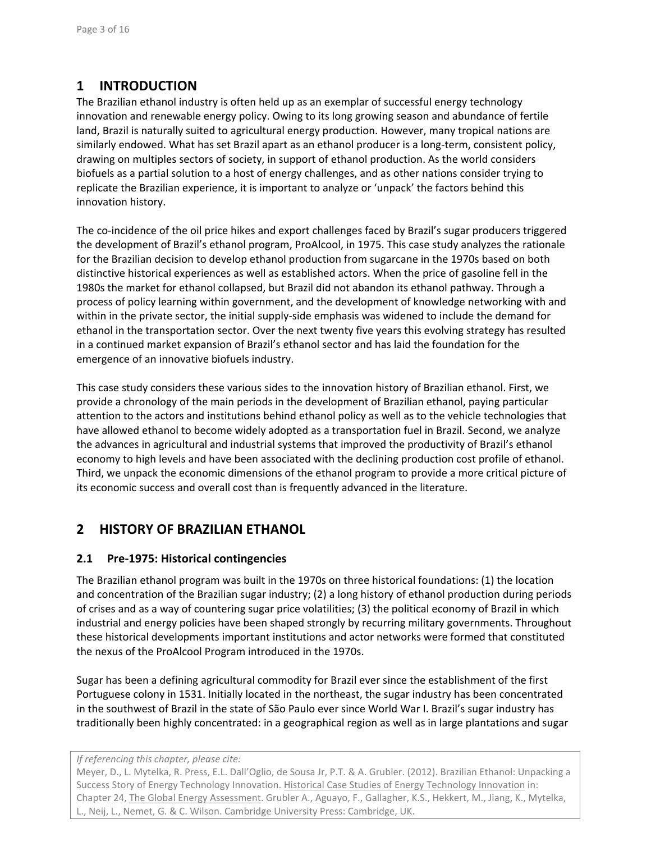# **1 INTRODUCTION**

The Brazilian ethanol industry is often held up as an exemplar of successful energy technology innovation and renewable energy policy. Owing to its long growing season and abundance of fertile land, Brazil is naturally suited to agricultural energy production. However, many tropical nations are similarly endowed. What has set Brazil apart as an ethanol producer is a long-term, consistent policy, drawing on multiples sectors of society, in support of ethanol production. As the world considers biofuels as a partial solution to a host of energy challenges, and as other nations consider trying to replicate the Brazilian experience, it is important to analyze or 'unpack' the factors behind this innovation history.

The co-incidence of the oil price hikes and export challenges faced by Brazil's sugar producers triggered the development of Brazil's ethanol program, ProAlcool, in 1975. This case study analyzes the rationale for the Brazilian decision to develop ethanol production from sugarcane in the 1970s based on both distinctive historical experiences as well as established actors. When the price of gasoline fell in the 1980s the market for ethanol collapsed, but Brazil did not abandon its ethanol pathway. Through a process of policy learning within government, and the development of knowledge networking with and within in the private sector, the initial supply-side emphasis was widened to include the demand for ethanol in the transportation sector. Over the next twenty five years this evolving strategy has resulted in a continued market expansion of Brazil's ethanol sector and has laid the foundation for the emergence of an innovative biofuels industry.

This case study considers these various sides to the innovation history of Brazilian ethanol. First, we provide a chronology of the main periods in the development of Brazilian ethanol, paying particular attention to the actors and institutions behind ethanol policy as well as to the vehicle technologies that have allowed ethanol to become widely adopted as a transportation fuel in Brazil. Second, we analyze the advances in agricultural and industrial systems that improved the productivity of Brazil's ethanol economy to high levels and have been associated with the declining production cost profile of ethanol. Third, we unpack the economic dimensions of the ethanol program to provide a more critical picture of its economic success and overall cost than is frequently advanced in the literature.

# **2 HISTORY OF BRAZILIAN ETHANOL**

### **2.1 Pre‐1975: Historical contingencies**

The Brazilian ethanol program was built in the 1970s on three historical foundations: (1) the location and concentration of the Brazilian sugar industry; (2) a long history of ethanol production during periods of crises and as a way of countering sugar price volatilities; (3) the political economy of Brazil in which industrial and energy policies have been shaped strongly by recurring military governments. Throughout these historical developments important institutions and actor networks were formed that constituted the nexus of the ProAlcool Program introduced in the 1970s.

Sugar has been a defining agricultural commodity for Brazil ever since the establishment of the first Portuguese colony in 1531. Initially located in the northeast, the sugar industry has been concentrated in the southwest of Brazil in the state of São Paulo ever since World War I. Brazil's sugar industry has traditionally been highly concentrated: in a geographical region as well as in large plantations and sugar

*If referencing this chapter, please cite:*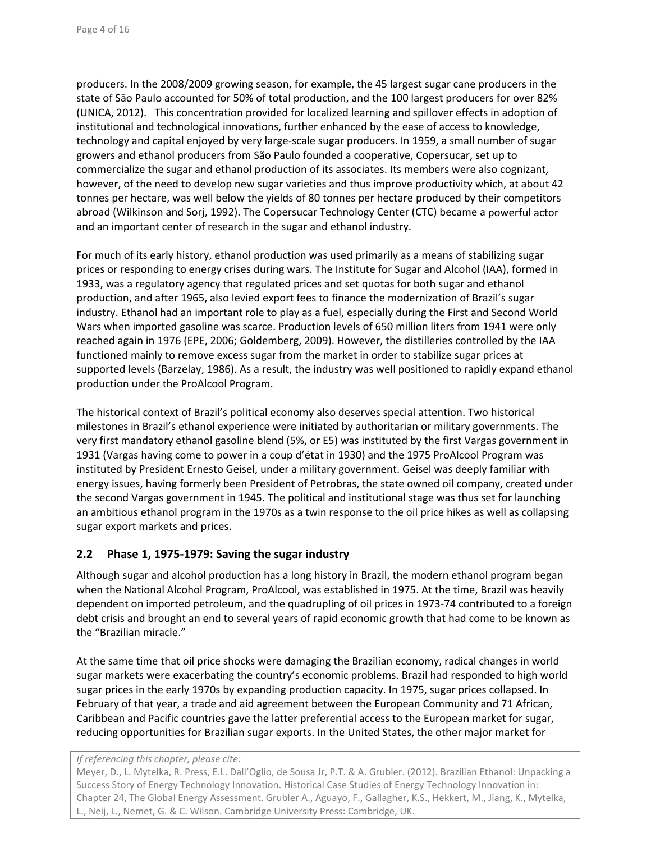producers. In the 2008/2009 growing season, for example, the 45 largest sugar cane producers in the state of São Paulo accounted for 50% of total production, and the 100 largest producers for over 82% (UNICA, 2012). This concentration provided for localized learning and spillover effects in adoption of institutional and technological innovations, further enhanced by the ease of access to knowledge, technology and capital enjoyed by very large‐scale sugar producers. In 1959, a small number of sugar growers and ethanol producers from São Paulo founded a cooperative, Copersucar, set up to commercialize the sugar and ethanol production of its associates. Its members were also cognizant, however, of the need to develop new sugar varieties and thus improve productivity which, at about 42 tonnes per hectare, was well below the yields of 80 tonnes per hectare produced by their competitors abroad (Wilkinson and Sorj, 1992). The Copersucar Technology Center (CTC) became a powerful actor and an important center of research in the sugar and ethanol industry.

For much of its early history, ethanol production was used primarily as a means of stabilizing sugar prices or responding to energy crises during wars. The Institute for Sugar and Alcohol (IAA), formed in 1933, was a regulatory agency that regulated prices and set quotas for both sugar and ethanol production, and after 1965, also levied export fees to finance the modernization of Brazil's sugar industry. Ethanol had an important role to play as a fuel, especially during the First and Second World Wars when imported gasoline was scarce. Production levels of 650 million liters from 1941 were only reached again in 1976 (EPE, 2006; Goldemberg, 2009). However, the distilleries controlled by the IAA functioned mainly to remove excess sugar from the market in order to stabilize sugar prices at supported levels (Barzelay, 1986). As a result, the industry was well positioned to rapidly expand ethanol production under the ProAlcool Program.

The historical context of Brazil's political economy also deserves special attention. Two historical milestones in Brazil's ethanol experience were initiated by authoritarian or military governments. The very first mandatory ethanol gasoline blend (5%, or E5) was instituted by the first Vargas government in 1931 (Vargas having come to power in a coup d'état in 1930) and the 1975 ProAlcool Program was instituted by President Ernesto Geisel, under a military government. Geisel was deeply familiar with energy issues, having formerly been President of Petrobras, the state owned oil company, created under the second Vargas government in 1945. The political and institutional stage was thus set for launching an ambitious ethanol program in the 1970s as a twin response to the oil price hikes as well as collapsing sugar export markets and prices.

### **2.2 Phase 1, 1975‐1979: Saving the sugar industry**

Although sugar and alcohol production has a long history in Brazil, the modern ethanol program began when the National Alcohol Program, ProAlcool, was established in 1975. At the time, Brazil was heavily dependent on imported petroleum, and the quadrupling of oil prices in 1973‐74 contributed to a foreign debt crisis and brought an end to several years of rapid economic growth that had come to be known as the "Brazilian miracle."

At the same time that oil price shocks were damaging the Brazilian economy, radical changes in world sugar markets were exacerbating the country's economic problems. Brazil had responded to high world sugar prices in the early 1970s by expanding production capacity. In 1975, sugar prices collapsed. In February of that year, a trade and aid agreement between the European Community and 71 African, Caribbean and Pacific countries gave the latter preferential access to the European market for sugar, reducing opportunities for Brazilian sugar exports. In the United States, the other major market for

*If referencing this chapter, please cite:*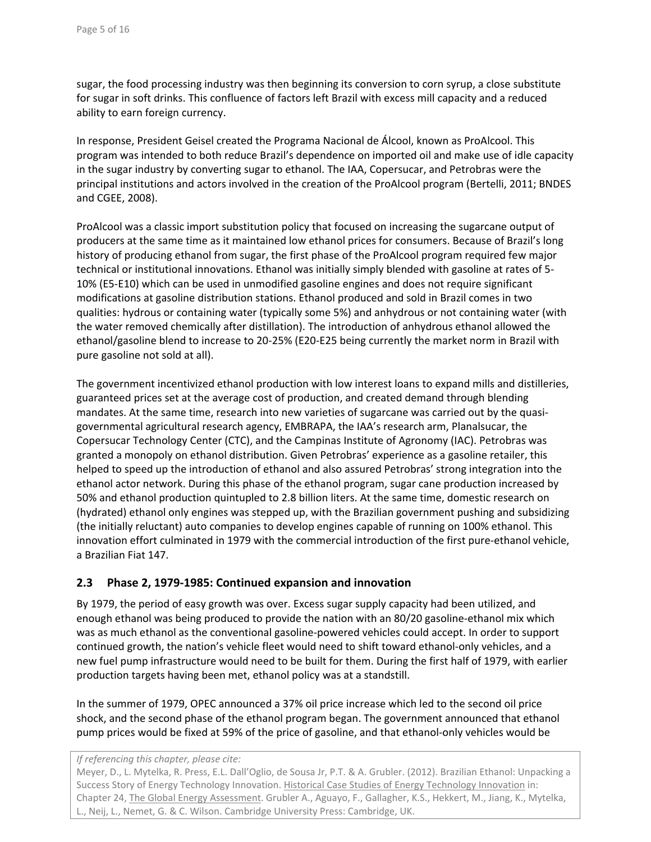sugar, the food processing industry was then beginning its conversion to corn syrup, a close substitute for sugar in soft drinks. This confluence of factors left Brazil with excess mill capacity and a reduced ability to earn foreign currency.

In response, President Geisel created the Programa Nacional de Álcool, known as ProAlcool. This program was intended to both reduce Brazil's dependence on imported oil and make use of idle capacity in the sugar industry by converting sugar to ethanol. The IAA, Copersucar, and Petrobras were the principal institutions and actors involved in the creation of the ProAlcool program (Bertelli, 2011; BNDES and CGEE, 2008).

ProAlcool was a classic import substitution policy that focused on increasing the sugarcane output of producers at the same time as it maintained low ethanol prices for consumers. Because of Brazil's long history of producing ethanol from sugar, the first phase of the ProAlcool program required few major technical or institutional innovations. Ethanol was initially simply blended with gasoline at rates of 5‐ 10% (E5‐E10) which can be used in unmodified gasoline engines and does not require significant modifications at gasoline distribution stations. Ethanol produced and sold in Brazil comes in two qualities: hydrous or containing water (typically some 5%) and anhydrous or not containing water (with the water removed chemically after distillation). The introduction of anhydrous ethanol allowed the ethanol/gasoline blend to increase to 20‐25% (E20‐E25 being currently the market norm in Brazil with pure gasoline not sold at all).

The government incentivized ethanol production with low interest loans to expand mills and distilleries, guaranteed prices set at the average cost of production, and created demand through blending mandates. At the same time, research into new varieties of sugarcane was carried out by the quasi‐ governmental agricultural research agency, EMBRAPA, the IAA's research arm, Planalsucar, the Copersucar Technology Center (CTC), and the Campinas Institute of Agronomy (IAC). Petrobras was granted a monopoly on ethanol distribution. Given Petrobras' experience as a gasoline retailer, this helped to speed up the introduction of ethanol and also assured Petrobras' strong integration into the ethanol actor network. During this phase of the ethanol program, sugar cane production increased by 50% and ethanol production quintupled to 2.8 billion liters. At the same time, domestic research on (hydrated) ethanol only engines was stepped up, with the Brazilian government pushing and subsidizing (the initially reluctant) auto companies to develop engines capable of running on 100% ethanol. This innovation effort culminated in 1979 with the commercial introduction of the first pure‐ethanol vehicle, a Brazilian Fiat 147.

### **2.3 Phase 2, 1979‐1985: Continued expansion and innovation**

By 1979, the period of easy growth was over. Excess sugar supply capacity had been utilized, and enough ethanol was being produced to provide the nation with an 80/20 gasoline‐ethanol mix which was as much ethanol as the conventional gasoline‐powered vehicles could accept. In order to support continued growth, the nation's vehicle fleet would need to shift toward ethanol‐only vehicles, and a new fuel pump infrastructure would need to be built for them. During the first half of 1979, with earlier production targets having been met, ethanol policy was at a standstill.

In the summer of 1979, OPEC announced a 37% oil price increase which led to the second oil price shock, and the second phase of the ethanol program began. The government announced that ethanol pump prices would be fixed at 59% of the price of gasoline, and that ethanol‐only vehicles would be

*If referencing this chapter, please cite:*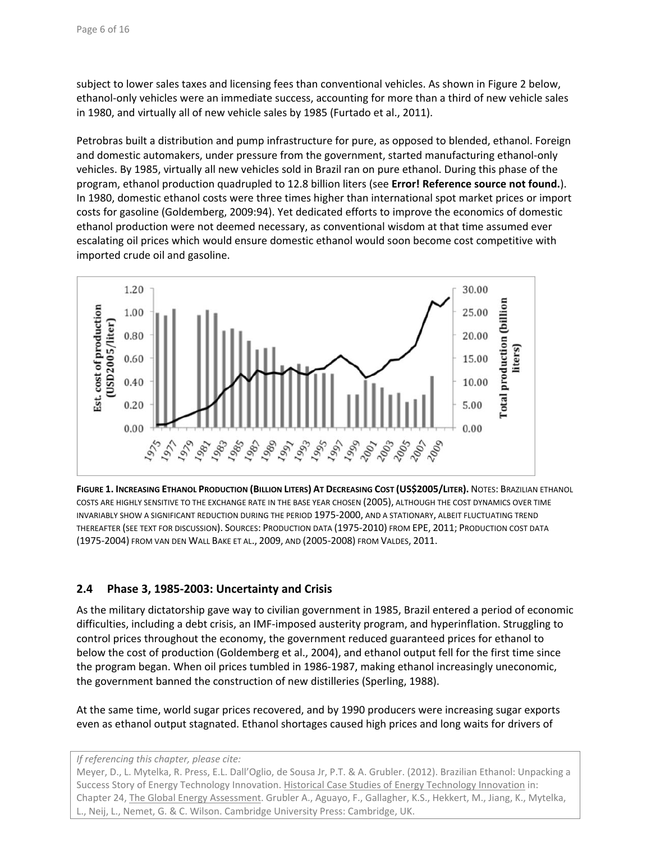subject to lower sales taxes and licensing fees than conventional vehicles. As shown in Figure 2 below, ethanol‐only vehicles were an immediate success, accounting for more than a third of new vehicle sales in 1980, and virtually all of new vehicle sales by 1985 (Furtado et al., 2011).

Petrobras built a distribution and pump infrastructure for pure, as opposed to blended, ethanol. Foreign and domestic automakers, under pressure from the government, started manufacturing ethanol‐only vehicles. By 1985, virtually all new vehicles sold in Brazil ran on pure ethanol. During this phase of the program, ethanol production quadrupled to 12.8 billion liters (see **Error! Reference source not found.**). In 1980, domestic ethanol costs were three times higher than international spot market prices or import costs for gasoline (Goldemberg, 2009:94). Yet dedicated efforts to improve the economics of domestic ethanol production were not deemed necessary, as conventional wisdom at that time assumed ever escalating oil prices which would ensure domestic ethanol would soon become cost competitive with imported crude oil and gasoline.



**FIGURE 1. INCREASING ETHANOL PRODUCTION (BILLION LITERS) AT DECREASING COST (US\$2005/LITER).** NOTES: BRAZILIAN ETHANOL COSTS ARE HIGHLY SENSITIVE TO THE EXCHANGE RATE IN THE BASE YEAR CHOSEN (2005), ALTHOUGH THE COST DYNAMICS OVER TIME INVARIABLY SHOW A SIGNIFICANT REDUCTION DURING THE PERIOD 1975‐2000, AND A STATIONARY, ALBEIT FLUCTUATING TREND THEREAFTER (SEE TEXT FOR DISCUSSION). SOURCES: PRODUCTION DATA (1975‐2010) FROM EPE, 2011; PRODUCTION COST DATA (1975‐2004) FROM VAN DEN WALL BAKE ET AL., 2009, AND (2005‐2008) FROM VALDES, 2011.

### **2.4 Phase 3, 1985‐2003: Uncertainty and Crisis**

As the military dictatorship gave way to civilian government in 1985, Brazil entered a period of economic difficulties, including a debt crisis, an IMF‐imposed austerity program, and hyperinflation. Struggling to control prices throughout the economy, the government reduced guaranteed prices for ethanol to below the cost of production (Goldemberg et al., 2004), and ethanol output fell for the first time since the program began. When oil prices tumbled in 1986‐1987, making ethanol increasingly uneconomic, the government banned the construction of new distilleries (Sperling, 1988).

At the same time, world sugar prices recovered, and by 1990 producers were increasing sugar exports even as ethanol output stagnated. Ethanol shortages caused high prices and long waits for drivers of

*If referencing this chapter, please cite:*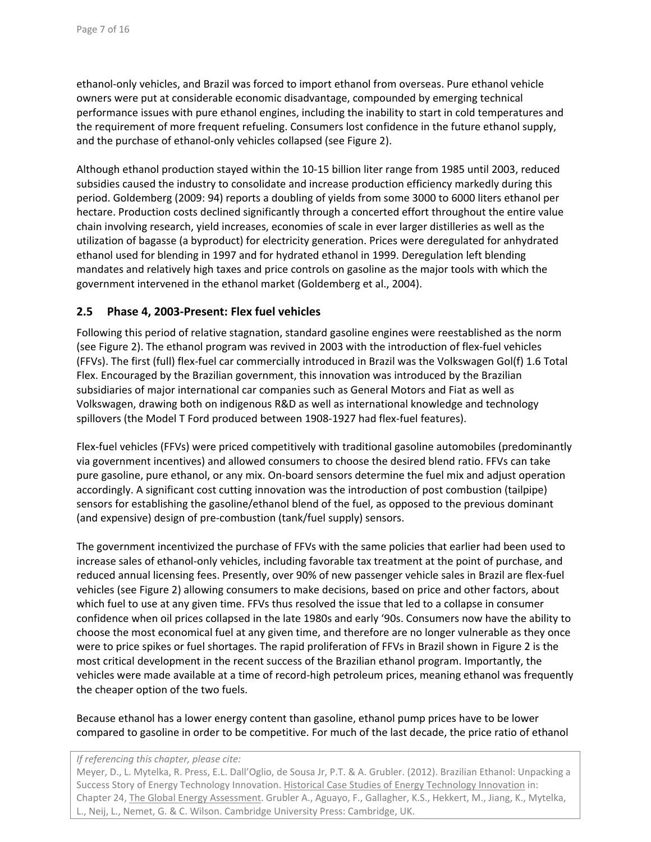ethanol‐only vehicles, and Brazil was forced to import ethanol from overseas. Pure ethanol vehicle owners were put at considerable economic disadvantage, compounded by emerging technical performance issues with pure ethanol engines, including the inability to start in cold temperatures and the requirement of more frequent refueling. Consumers lost confidence in the future ethanol supply, and the purchase of ethanol‐only vehicles collapsed (see Figure 2).

Although ethanol production stayed within the 10‐15 billion liter range from 1985 until 2003, reduced subsidies caused the industry to consolidate and increase production efficiency markedly during this period. Goldemberg (2009: 94) reports a doubling of yields from some 3000 to 6000 liters ethanol per hectare. Production costs declined significantly through a concerted effort throughout the entire value chain involving research, yield increases, economies of scale in ever larger distilleries as well as the utilization of bagasse (a byproduct) for electricity generation. Prices were deregulated for anhydrated ethanol used for blending in 1997 and for hydrated ethanol in 1999. Deregulation left blending mandates and relatively high taxes and price controls on gasoline as the major tools with which the government intervened in the ethanol market (Goldemberg et al., 2004).

### **2.5 Phase 4, 2003‐Present: Flex fuel vehicles**

Following this period of relative stagnation, standard gasoline engines were reestablished as the norm (see Figure 2). The ethanol program was revived in 2003 with the introduction of flex‐fuel vehicles (FFVs). The first (full) flex‐fuel car commercially introduced in Brazil was the Volkswagen Gol(f) 1.6 Total Flex. Encouraged by the Brazilian government, this innovation was introduced by the Brazilian subsidiaries of major international car companies such as General Motors and Fiat as well as Volkswagen, drawing both on indigenous R&D as well as international knowledge and technology spillovers (the Model T Ford produced between 1908-1927 had flex-fuel features).

Flex-fuel vehicles (FFVs) were priced competitively with traditional gasoline automobiles (predominantly via government incentives) and allowed consumers to choose the desired blend ratio. FFVs can take pure gasoline, pure ethanol, or any mix. On‐board sensors determine the fuel mix and adjust operation accordingly. A significant cost cutting innovation was the introduction of post combustion (tailpipe) sensors for establishing the gasoline/ethanol blend of the fuel, as opposed to the previous dominant (and expensive) design of pre‐combustion (tank/fuel supply) sensors.

The government incentivized the purchase of FFVs with the same policies that earlier had been used to increase sales of ethanol‐only vehicles, including favorable tax treatment at the point of purchase, and reduced annual licensing fees. Presently, over 90% of new passenger vehicle sales in Brazil are flex‐fuel vehicles (see Figure 2) allowing consumers to make decisions, based on price and other factors, about which fuel to use at any given time. FFVs thus resolved the issue that led to a collapse in consumer confidence when oil prices collapsed in the late 1980s and early '90s. Consumers now have the ability to choose the most economical fuel at any given time, and therefore are no longer vulnerable as they once were to price spikes or fuel shortages. The rapid proliferation of FFVs in Brazil shown in Figure 2 is the most critical development in the recent success of the Brazilian ethanol program. Importantly, the vehicles were made available at a time of record‐high petroleum prices, meaning ethanol was frequently the cheaper option of the two fuels.

Because ethanol has a lower energy content than gasoline, ethanol pump prices have to be lower compared to gasoline in order to be competitive. For much of the last decade, the price ratio of ethanol

#### *If referencing this chapter, please cite:*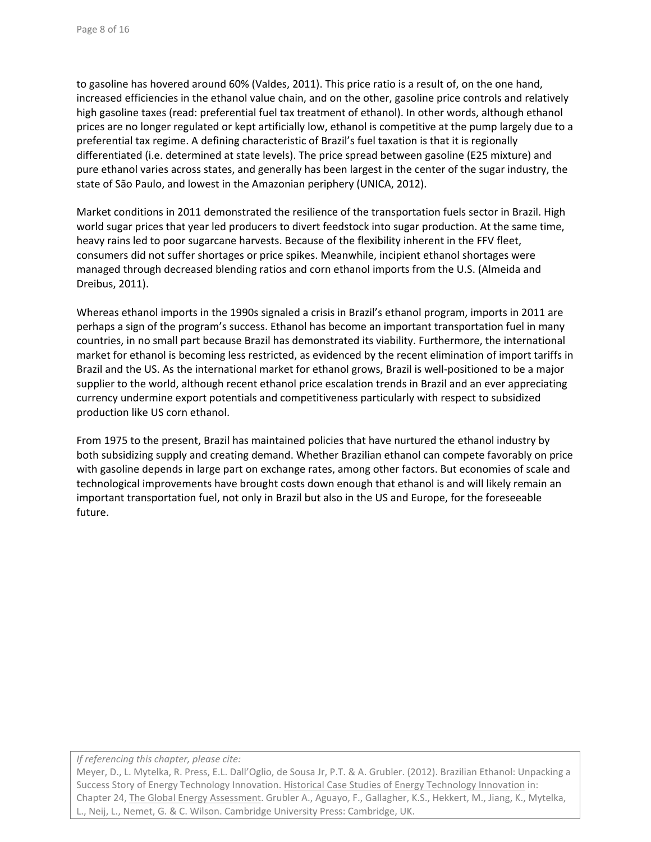to gasoline has hovered around 60% (Valdes, 2011). This price ratio is a result of, on the one hand, increased efficiencies in the ethanol value chain, and on the other, gasoline price controls and relatively high gasoline taxes (read: preferential fuel tax treatment of ethanol). In other words, although ethanol prices are no longer regulated or kept artificially low, ethanol is competitive at the pump largely due to a preferential tax regime. A defining characteristic of Brazil's fuel taxation is that it is regionally differentiated (i.e. determined at state levels). The price spread between gasoline (E25 mixture) and pure ethanol varies across states, and generally has been largest in the center of the sugar industry, the state of São Paulo, and lowest in the Amazonian periphery (UNICA, 2012).

Market conditions in 2011 demonstrated the resilience of the transportation fuels sector in Brazil. High world sugar prices that year led producers to divert feedstock into sugar production. At the same time, heavy rains led to poor sugarcane harvests. Because of the flexibility inherent in the FFV fleet, consumers did not suffer shortages or price spikes. Meanwhile, incipient ethanol shortages were managed through decreased blending ratios and corn ethanol imports from the U.S. (Almeida and Dreibus, 2011).

Whereas ethanol imports in the 1990s signaled a crisis in Brazil's ethanol program, imports in 2011 are perhaps a sign of the program's success. Ethanol has become an important transportation fuel in many countries, in no small part because Brazil has demonstrated its viability. Furthermore, the international market for ethanol is becoming less restricted, as evidenced by the recent elimination of import tariffs in Brazil and the US. As the international market for ethanol grows, Brazil is well‐positioned to be a major supplier to the world, although recent ethanol price escalation trends in Brazil and an ever appreciating currency undermine export potentials and competitiveness particularly with respect to subsidized production like US corn ethanol.

From 1975 to the present, Brazil has maintained policies that have nurtured the ethanol industry by both subsidizing supply and creating demand. Whether Brazilian ethanol can compete favorably on price with gasoline depends in large part on exchange rates, among other factors. But economies of scale and technological improvements have brought costs down enough that ethanol is and will likely remain an important transportation fuel, not only in Brazil but also in the US and Europe, for the foreseeable future.

*If referencing this chapter, please cite:*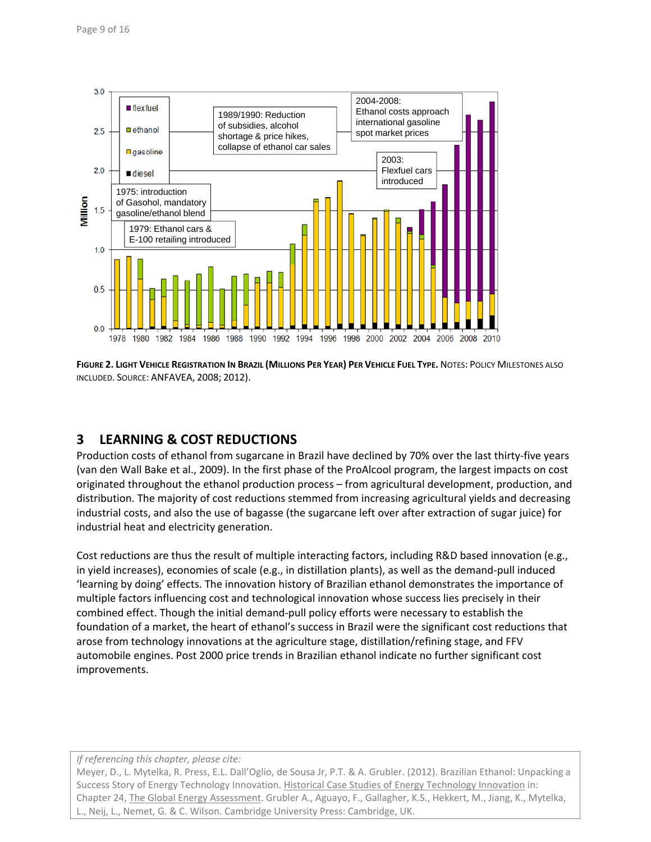

**FIGURE 2. LIGHT VEHICLE REGISTRATION IN BRAZIL (MILLIONS PER YEAR) PER VEHICLE FUEL TYPE.** NOTES: POLICY MILESTONES ALSO INCLUDED. SOURCE: ANFAVEA, 2008; 2012).

# **3 LEARNING & COST REDUCTIONS**

Production costs of ethanol from sugarcane in Brazil have declined by 70% over the last thirty-five years (van den Wall Bake et al., 2009). In the first phase of the ProAlcool program, the largest impacts on cost originated throughout the ethanol production process – from agricultural development, production, and distribution. The majority of cost reductions stemmed from increasing agricultural yields and decreasing industrial costs, and also the use of bagasse (the sugarcane left over after extraction of sugar juice) for industrial heat and electricity generation.

Cost reductions are thus the result of multiple interacting factors, including R&D based innovation (e.g., in yield increases), economies of scale (e.g., in distillation plants), as well as the demand‐pull induced 'learning by doing' effects. The innovation history of Brazilian ethanol demonstrates the importance of multiple factors influencing cost and technological innovation whose success lies precisely in their combined effect. Though the initial demand-pull policy efforts were necessary to establish the foundation of a market, the heart of ethanol's success in Brazil were the significant cost reductions that arose from technology innovations at the agriculture stage, distillation/refining stage, and FFV automobile engines. Post 2000 price trends in Brazilian ethanol indicate no further significant cost improvements.

*If referencing this chapter, please cite:*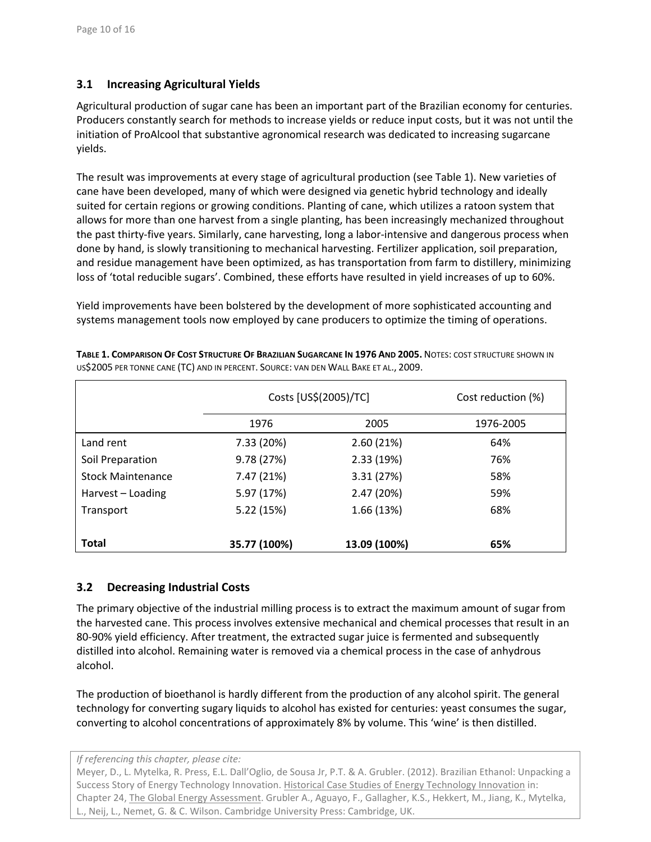### **3.1 Increasing Agricultural Yields**

Agricultural production of sugar cane has been an important part of the Brazilian economy for centuries. Producers constantly search for methods to increase yields or reduce input costs, but it was not until the initiation of ProAlcool that substantive agronomical research was dedicated to increasing sugarcane yields.

The result was improvements at every stage of agricultural production (see Table 1). New varieties of cane have been developed, many of which were designed via genetic hybrid technology and ideally suited for certain regions or growing conditions. Planting of cane, which utilizes a ratoon system that allows for more than one harvest from a single planting, has been increasingly mechanized throughout the past thirty-five years. Similarly, cane harvesting, long a labor-intensive and dangerous process when done by hand, is slowly transitioning to mechanical harvesting. Fertilizer application, soil preparation, and residue management have been optimized, as has transportation from farm to distillery, minimizing loss of 'total reducible sugars'. Combined, these efforts have resulted in yield increases of up to 60%.

Yield improvements have been bolstered by the development of more sophisticated accounting and systems management tools now employed by cane producers to optimize the timing of operations.

|                          | Costs [US\$(2005)/TC] |              | Cost reduction (%) |
|--------------------------|-----------------------|--------------|--------------------|
|                          | 1976                  | 2005         | 1976-2005          |
| Land rent                | 7.33 (20%)            | 2.60(21%)    | 64%                |
| Soil Preparation         | 9.78 (27%)            | 2.33(19%)    | 76%                |
| <b>Stock Maintenance</b> | 7.47 (21%)            | 3.31(27%)    | 58%                |
| Harvest - Loading        | 5.97 (17%)            | 2.47 (20%)   | 59%                |
| Transport                | 5.22 (15%)            | 1.66(13%)    | 68%                |
|                          |                       |              |                    |
| <b>Total</b>             | 35.77 (100%)          | 13.09 (100%) | 65%                |

**TABLE 1. COMPARISON OF COST STRUCTURE OF BRAZILIAN SUGARCANE IN 1976 AND 2005.** NOTES: COST STRUCTURE SHOWN IN US\$2005 PER TONNE CANE (TC) AND IN PERCENT. SOURCE: VAN DEN WALL BAKE ET AL., 2009.

### **3.2 Decreasing Industrial Costs**

The primary objective of the industrial milling process is to extract the maximum amount of sugar from the harvested cane. This process involves extensive mechanical and chemical processes that result in an 80‐90% yield efficiency. After treatment, the extracted sugar juice is fermented and subsequently distilled into alcohol. Remaining water is removed via a chemical process in the case of anhydrous alcohol.

The production of bioethanol is hardly different from the production of any alcohol spirit. The general technology for converting sugary liquids to alcohol has existed for centuries: yeast consumes the sugar, converting to alcohol concentrations of approximately 8% by volume. This 'wine' is then distilled.

*If referencing this chapter, please cite:*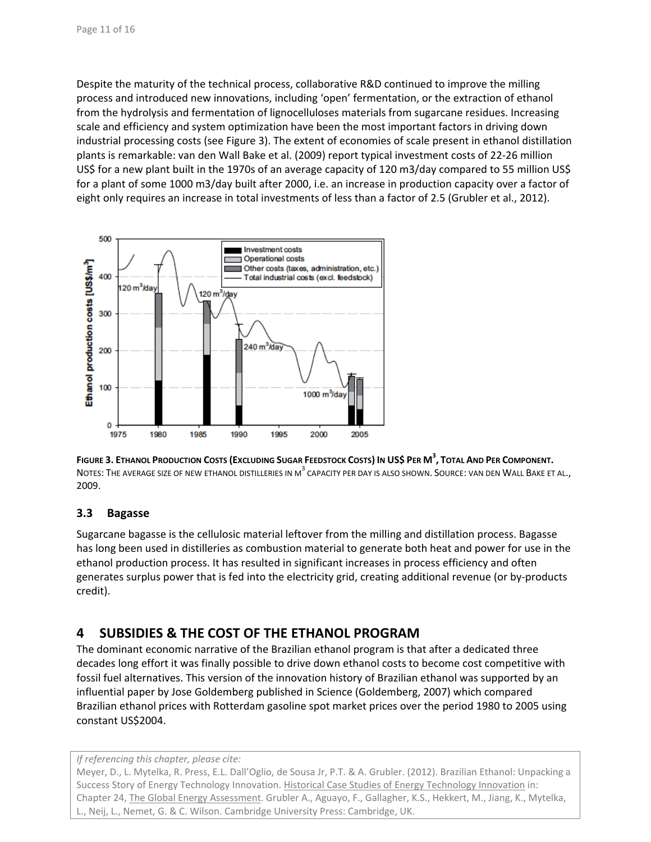Despite the maturity of the technical process, collaborative R&D continued to improve the milling process and introduced new innovations, including 'open' fermentation, or the extraction of ethanol from the hydrolysis and fermentation of lignocelluloses materials from sugarcane residues. Increasing scale and efficiency and system optimization have been the most important factors in driving down industrial processing costs (see Figure 3). The extent of economies of scale present in ethanol distillation plants is remarkable: van den Wall Bake et al. (2009) report typical investment costs of 22‐26 million US\$ for a new plant built in the 1970s of an average capacity of 120 m3/day compared to 55 million US\$ for a plant of some 1000 m3/day built after 2000, i.e. an increase in production capacity over a factor of eight only requires an increase in total investments of less than a factor of 2.5 (Grubler et al., 2012).





### **3.3 Bagasse**

Sugarcane bagasse is the cellulosic material leftover from the milling and distillation process. Bagasse has long been used in distilleries as combustion material to generate both heat and power for use in the ethanol production process. It has resulted in significant increases in process efficiency and often generates surplus power that is fed into the electricity grid, creating additional revenue (or by‐products credit).

# **4 SUBSIDIES & THE COST OF THE ETHANOL PROGRAM**

The dominant economic narrative of the Brazilian ethanol program is that after a dedicated three decades long effort it was finally possible to drive down ethanol costs to become cost competitive with fossil fuel alternatives. This version of the innovation history of Brazilian ethanol was supported by an influential paper by Jose Goldemberg published in Science (Goldemberg, 2007) which compared Brazilian ethanol prices with Rotterdam gasoline spot market prices over the period 1980 to 2005 using constant US\$2004.

#### *If referencing this chapter, please cite:*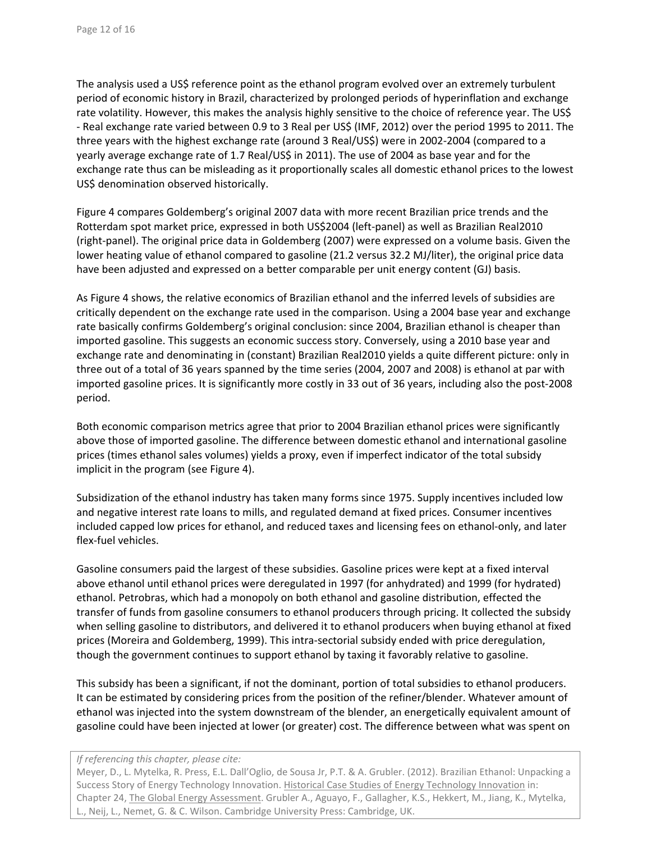The analysis used a US\$ reference point as the ethanol program evolved over an extremely turbulent period of economic history in Brazil, characterized by prolonged periods of hyperinflation and exchange rate volatility. However, this makes the analysis highly sensitive to the choice of reference year. The US\$ ‐ Real exchange rate varied between 0.9 to 3 Real per US\$ (IMF, 2012) over the period 1995 to 2011. The three years with the highest exchange rate (around 3 Real/US\$) were in 2002‐2004 (compared to a yearly average exchange rate of 1.7 Real/US\$ in 2011). The use of 2004 as base year and for the exchange rate thus can be misleading as it proportionally scales all domestic ethanol prices to the lowest US\$ denomination observed historically.

Figure 4 compares Goldemberg's original 2007 data with more recent Brazilian price trends and the Rotterdam spot market price, expressed in both US\$2004 (left‐panel) as well as Brazilian Real2010 (right‐panel). The original price data in Goldemberg (2007) were expressed on a volume basis. Given the lower heating value of ethanol compared to gasoline (21.2 versus 32.2 MJ/liter), the original price data have been adjusted and expressed on a better comparable per unit energy content (GJ) basis.

As Figure 4 shows, the relative economics of Brazilian ethanol and the inferred levels of subsidies are critically dependent on the exchange rate used in the comparison. Using a 2004 base year and exchange rate basically confirms Goldemberg's original conclusion: since 2004, Brazilian ethanol is cheaper than imported gasoline. This suggests an economic success story. Conversely, using a 2010 base year and exchange rate and denominating in (constant) Brazilian Real2010 yields a quite different picture: only in three out of a total of 36 years spanned by the time series (2004, 2007 and 2008) is ethanol at par with imported gasoline prices. It is significantly more costly in 33 out of 36 years, including also the post‐2008 period.

Both economic comparison metrics agree that prior to 2004 Brazilian ethanol prices were significantly above those of imported gasoline. The difference between domestic ethanol and international gasoline prices (times ethanol sales volumes) yields a proxy, even if imperfect indicator of the total subsidy implicit in the program (see Figure 4).

Subsidization of the ethanol industry has taken many forms since 1975. Supply incentives included low and negative interest rate loans to mills, and regulated demand at fixed prices. Consumer incentives included capped low prices for ethanol, and reduced taxes and licensing fees on ethanol‐only, and later flex‐fuel vehicles.

Gasoline consumers paid the largest of these subsidies. Gasoline prices were kept at a fixed interval above ethanol until ethanol prices were deregulated in 1997 (for anhydrated) and 1999 (for hydrated) ethanol. Petrobras, which had a monopoly on both ethanol and gasoline distribution, effected the transfer of funds from gasoline consumers to ethanol producers through pricing. It collected the subsidy when selling gasoline to distributors, and delivered it to ethanol producers when buying ethanol at fixed prices (Moreira and Goldemberg, 1999). This intra‐sectorial subsidy ended with price deregulation, though the government continues to support ethanol by taxing it favorably relative to gasoline.

This subsidy has been a significant, if not the dominant, portion of total subsidies to ethanol producers. It can be estimated by considering prices from the position of the refiner/blender. Whatever amount of ethanol was injected into the system downstream of the blender, an energetically equivalent amount of gasoline could have been injected at lower (or greater) cost. The difference between what was spent on

*If referencing this chapter, please cite:*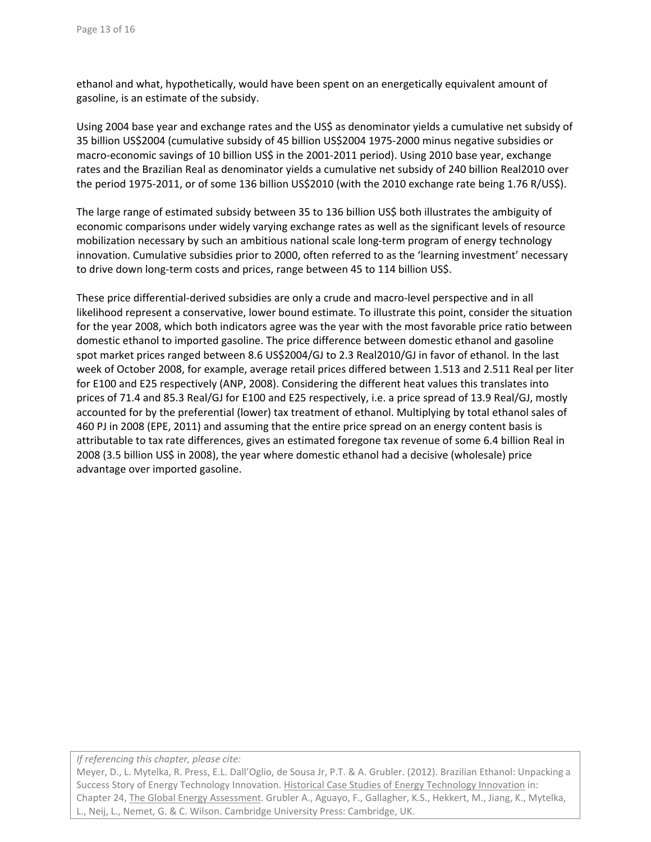ethanol and what, hypothetically, would have been spent on an energetically equivalent amount of gasoline, is an estimate of the subsidy.

Using 2004 base year and exchange rates and the US\$ as denominator yields a cumulative net subsidy of 35 billion US\$2004 (cumulative subsidy of 45 billion US\$2004 1975‐2000 minus negative subsidies or macro‐economic savings of 10 billion US\$ in the 2001‐2011 period). Using 2010 base year, exchange rates and the Brazilian Real as denominator yields a cumulative net subsidy of 240 billion Real2010 over the period 1975-2011, or of some 136 billion US\$2010 (with the 2010 exchange rate being 1.76 R/US\$).

The large range of estimated subsidy between 35 to 136 billion US\$ both illustrates the ambiguity of economic comparisons under widely varying exchange rates as well as the significant levels of resource mobilization necessary by such an ambitious national scale long‐term program of energy technology innovation. Cumulative subsidies prior to 2000, often referred to as the 'learning investment' necessary to drive down long-term costs and prices, range between 45 to 114 billion US\$.

These price differential‐derived subsidies are only a crude and macro‐level perspective and in all likelihood represent a conservative, lower bound estimate. To illustrate this point, consider the situation for the year 2008, which both indicators agree was the year with the most favorable price ratio between domestic ethanol to imported gasoline. The price difference between domestic ethanol and gasoline spot market prices ranged between 8.6 US\$2004/GJ to 2.3 Real2010/GJ in favor of ethanol. In the last week of October 2008, for example, average retail prices differed between 1.513 and 2.511 Real per liter for E100 and E25 respectively (ANP, 2008). Considering the different heat values this translates into prices of 71.4 and 85.3 Real/GJ for E100 and E25 respectively, i.e. a price spread of 13.9 Real/GJ, mostly accounted for by the preferential (lower) tax treatment of ethanol. Multiplying by total ethanol sales of 460 PJ in 2008 (EPE, 2011) and assuming that the entire price spread on an energy content basis is attributable to tax rate differences, gives an estimated foregone tax revenue of some 6.4 billion Real in 2008 (3.5 billion US\$ in 2008), the year where domestic ethanol had a decisive (wholesale) price advantage over imported gasoline.

*If referencing this chapter, please cite:*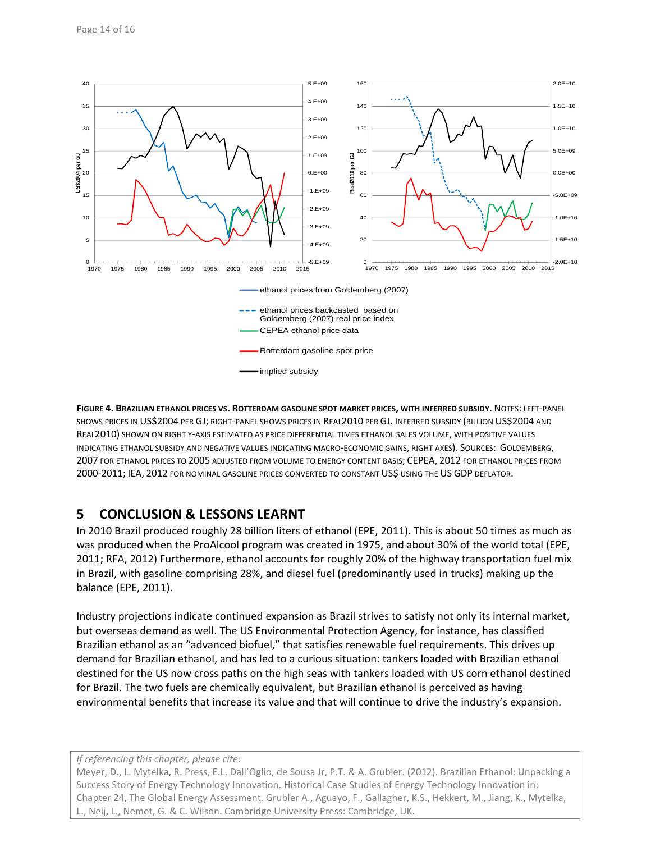

**FIGURE 4. BRAZILIAN ETHANOL PRICES VS. ROTTERDAM GASOLINE SPOT MARKET PRICES, WITH INFERRED SUBSIDY.** NOTES: LEFT‐PANEL SHOWS PRICES IN US\$2004 PER GJ; RIGHT‐PANEL SHOWS PRICES IN REAL2010 PER GJ. INFERRED SUBSIDY (BILLION US\$2004 AND REAL2010) SHOWN ON RIGHT Y‐AXIS ESTIMATED AS PRICE DIFFERENTIAL TIMES ETHANOL SALES VOLUME, WITH POSITIVE VALUES INDICATING ETHANOL SUBSIDY AND NEGATIVE VALUES INDICATING MACRO‐ECONOMIC GAINS, RIGHT AXES). SOURCES: GOLDEMBERG, 2007 FOR ETHANOL PRICES TO 2005 ADJUSTED FROM VOLUME TO ENERGY CONTENT BASIS; CEPEA, 2012 FOR ETHANOL PRICES FROM 2000‐2011; IEA, 2012 FOR NOMINAL GASOLINE PRICES CONVERTED TO CONSTANT US\$ USING THE US GDP DEFLATOR.

# **5 CONCLUSION & LESSONS LEARNT**

In 2010 Brazil produced roughly 28 billion liters of ethanol (EPE, 2011). This is about 50 times as much as was produced when the ProAlcool program was created in 1975, and about 30% of the world total (EPE, 2011; RFA, 2012) Furthermore, ethanol accounts for roughly 20% of the highway transportation fuel mix in Brazil, with gasoline comprising 28%, and diesel fuel (predominantly used in trucks) making up the balance (EPE, 2011).

Industry projections indicate continued expansion as Brazil strives to satisfy not only its internal market, but overseas demand as well. The US Environmental Protection Agency, for instance, has classified Brazilian ethanol as an "advanced biofuel," that satisfies renewable fuel requirements. This drives up demand for Brazilian ethanol, and has led to a curious situation: tankers loaded with Brazilian ethanol destined for the US now cross paths on the high seas with tankers loaded with US corn ethanol destined for Brazil. The two fuels are chemically equivalent, but Brazilian ethanol is perceived as having environmental benefits that increase its value and that will continue to drive the industry's expansion.

*If referencing this chapter, please cite:*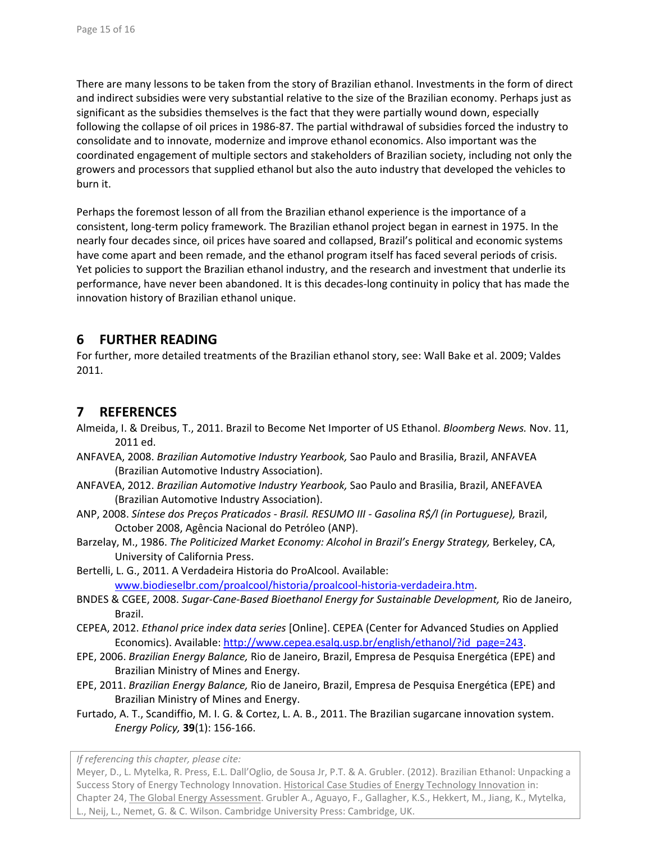There are many lessons to be taken from the story of Brazilian ethanol. Investments in the form of direct and indirect subsidies were very substantial relative to the size of the Brazilian economy. Perhaps just as significant as the subsidies themselves is the fact that they were partially wound down, especially following the collapse of oil prices in 1986‐87. The partial withdrawal of subsidies forced the industry to consolidate and to innovate, modernize and improve ethanol economics. Also important was the coordinated engagement of multiple sectors and stakeholders of Brazilian society, including not only the growers and processors that supplied ethanol but also the auto industry that developed the vehicles to burn it.

Perhaps the foremost lesson of all from the Brazilian ethanol experience is the importance of a consistent, long‐term policy framework. The Brazilian ethanol project began in earnest in 1975. In the nearly four decades since, oil prices have soared and collapsed, Brazil's political and economic systems have come apart and been remade, and the ethanol program itself has faced several periods of crisis. Yet policies to support the Brazilian ethanol industry, and the research and investment that underlie its performance, have never been abandoned. It is this decades‐long continuity in policy that has made the innovation history of Brazilian ethanol unique.

# **6 FURTHER READING**

For further, more detailed treatments of the Brazilian ethanol story, see: Wall Bake et al. 2009; Valdes 2011.

### **7 REFERENCES**

- Almeida, I. & Dreibus, T., 2011. Brazil to Become Net Importer of US Ethanol. *Bloomberg News.* Nov. 11, 2011 ed.
- ANFAVEA, 2008. *Brazilian Automotive Industry Yearbook,* Sao Paulo and Brasilia, Brazil, ANFAVEA (Brazilian Automotive Industry Association).
- ANFAVEA, 2012. *Brazilian Automotive Industry Yearbook,* Sao Paulo and Brasilia, Brazil, ANEFAVEA (Brazilian Automotive Industry Association).
- ANP, 2008. *Síntese dos Preços Praticados ‐ Brasil. RESUMO III ‐ Gasolina R\$/l (in Portuguese),* Brazil, October 2008, Agência Nacional do Petróleo (ANP).
- Barzelay, M., 1986. *The Politicized Market Economy: Alcohol in Brazil's Energy Strategy,* Berkeley, CA, University of California Press.
- Bertelli, L. G., 2011. A Verdadeira Historia do ProAlcool. Available: www.biodieselbr.com/proalcool/historia/proalcool‐historia‐verdadeira.htm.
- BNDES & CGEE, 2008. *Sugar‐Cane‐Based Bioethanol Energy for Sustainable Development,* Rio de Janeiro, Brazil.
- CEPEA, 2012. *Ethanol price index data series* [Online]. CEPEA (Center for Advanced Studies on Applied Economics). Available: http://www.cepea.esalq.usp.br/english/ethanol/?id\_page=243.
- EPE, 2006. *Brazilian Energy Balance,* Rio de Janeiro, Brazil, Empresa de Pesquisa Energética (EPE) and Brazilian Ministry of Mines and Energy.
- EPE, 2011. *Brazilian Energy Balance,* Rio de Janeiro, Brazil, Empresa de Pesquisa Energética (EPE) and Brazilian Ministry of Mines and Energy.
- Furtado, A. T., Scandiffio, M. I. G. & Cortez, L. A. B., 2011. The Brazilian sugarcane innovation system. *Energy Policy,* **39**(1): 156‐166.

*If referencing this chapter, please cite:*